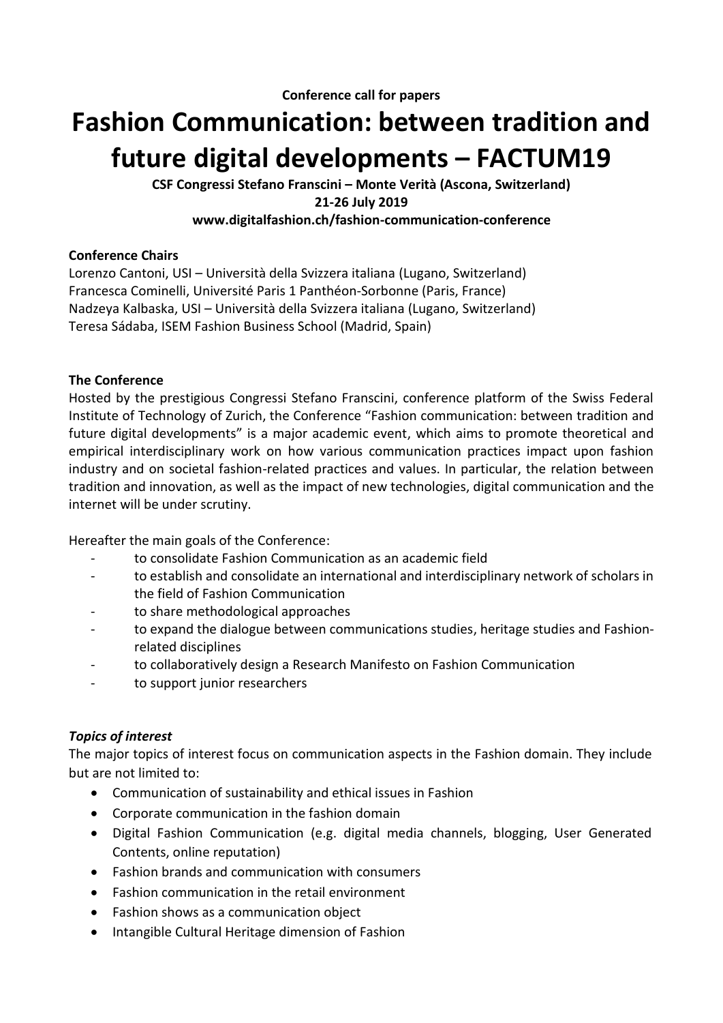# **Fashion Communication: between tradition and future digital developments – FACTUM19**

**CSF Congressi Stefano Franscini – Monte Verità (Ascona, Switzerland) 21-26 July 2019 www.digitalfashion.ch/fashion-communication-conference**

#### **Conference Chairs**

Lorenzo Cantoni, USI – Università della Svizzera italiana (Lugano, Switzerland) Francesca Cominelli, Université Paris 1 Panthéon-Sorbonne (Paris, France) Nadzeya Kalbaska, USI – Università della Svizzera italiana (Lugano, Switzerland) Teresa Sádaba, ISEM Fashion Business School (Madrid, Spain)

#### **The Conference**

Hosted by the prestigious Congressi Stefano Franscini, conference platform of the Swiss Federal Institute of Technology of Zurich, the Conference "Fashion communication: between tradition and future digital developments" is a major academic event, which aims to promote theoretical and empirical interdisciplinary work on how various communication practices impact upon fashion industry and on societal fashion-related practices and values. In particular, the relation between tradition and innovation, as well as the impact of new technologies, digital communication and the internet will be under scrutiny.

Hereafter the main goals of the Conference:

- to consolidate Fashion Communication as an academic field
- to establish and consolidate an international and interdisciplinary network of scholars in the field of Fashion Communication
- to share methodological approaches
- to expand the dialogue between communications studies, heritage studies and Fashionrelated disciplines
- to collaboratively design a Research Manifesto on Fashion Communication
- to support junior researchers

## *Topics of interest*

The major topics of interest focus on communication aspects in the Fashion domain. They include but are not limited to:

- Communication of sustainability and ethical issues in Fashion
- Corporate communication in the fashion domain
- Digital Fashion Communication (e.g. digital media channels, blogging, User Generated Contents, online reputation)
- Fashion brands and communication with consumers
- Fashion communication in the retail environment
- Fashion shows as a communication object
- Intangible Cultural Heritage dimension of Fashion